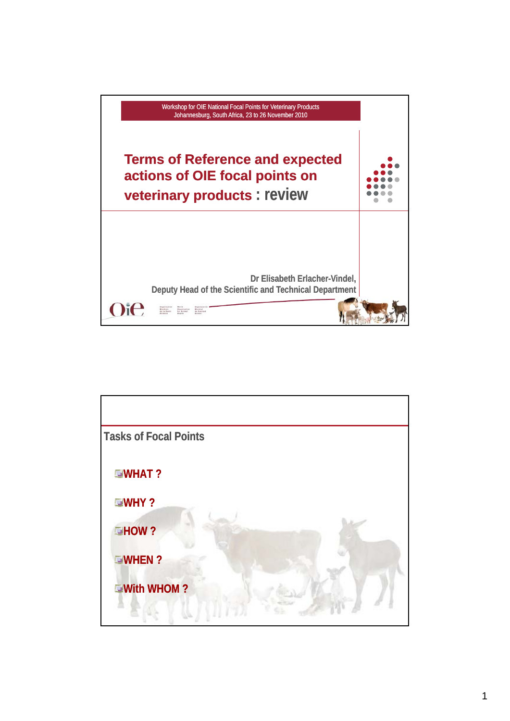

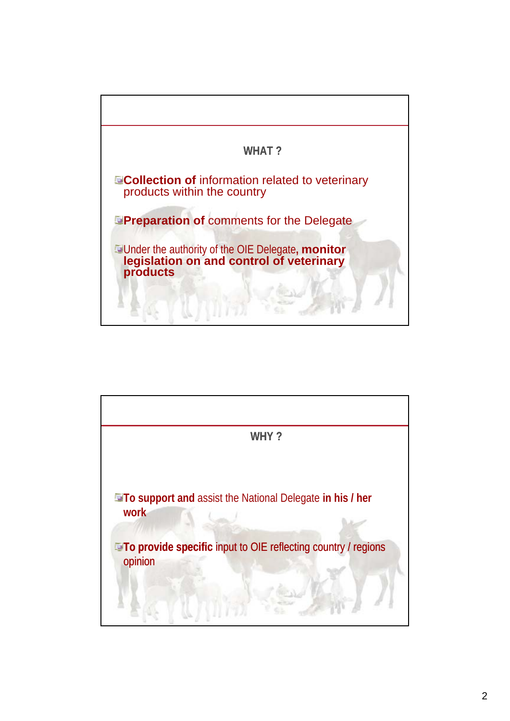

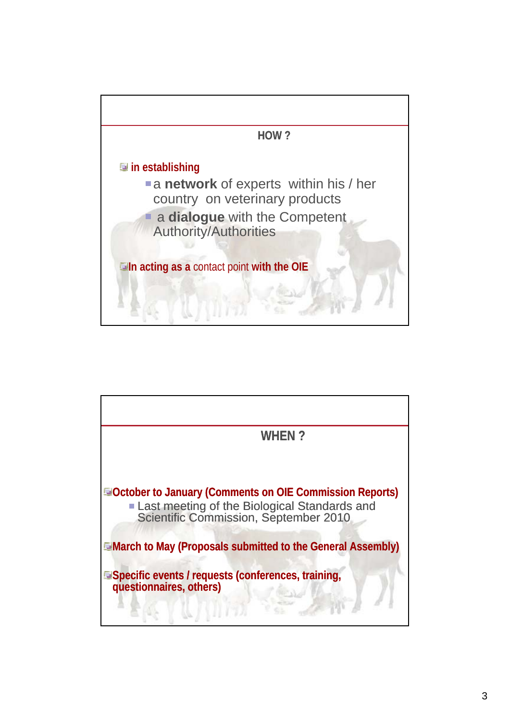

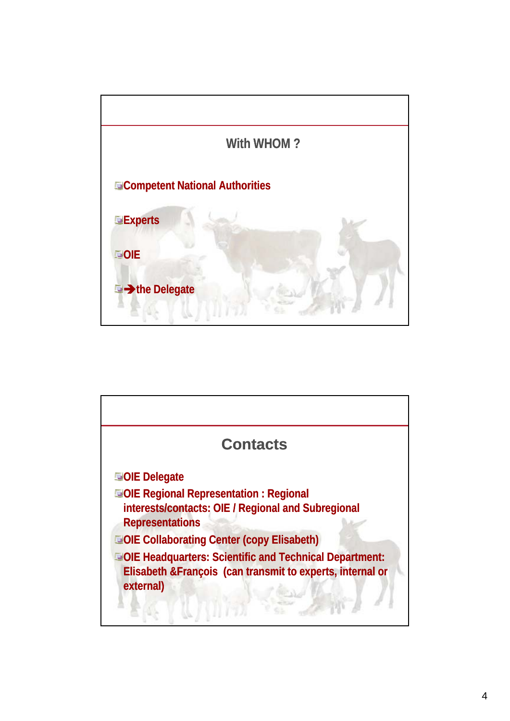